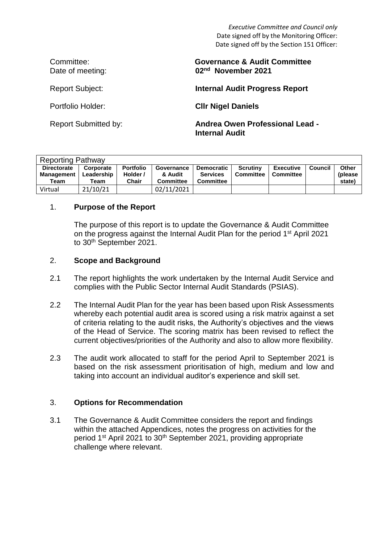*Executive Committee and Council only* Date signed off by the Monitoring Officer: Date signed off by the Section 151 Officer:

#### Committee: **Governance & Audit Committee**  Date of meeting: **02nd November 2021**

Report Subject: **Internal Audit Progress Report**

Portfolio Holder: **Cllr Nigel Daniels** 

Report Submitted by: **Andrea Owen Professional Lead - Internal Audit**

| <b>Reporting Pathway</b>                        |                                 |                                       |                                           |                                                          |                                     |                               |         |                                    |
|-------------------------------------------------|---------------------------------|---------------------------------------|-------------------------------------------|----------------------------------------------------------|-------------------------------------|-------------------------------|---------|------------------------------------|
| <b>Directorate</b><br><b>Management</b><br>Team | Corporate<br>Leadership<br>Team | <b>Portfolio</b><br>Holder /<br>Chair | Governance<br>& Audit<br><b>Committee</b> | <b>Democratic</b><br><b>Services</b><br><b>Committee</b> | <b>Scrutiny</b><br><b>Committee</b> | <b>Executive</b><br>Committee | Council | <b>Other</b><br>(please)<br>state) |
| Virtual                                         | 21/10/21                        |                                       | 02/11/2021                                |                                                          |                                     |                               |         |                                    |

# 1. **Purpose of the Report**

The purpose of this report is to update the Governance & Audit Committee on the progress against the Internal Audit Plan for the period 1<sup>st</sup> April 2021 to 30<sup>th</sup> September 2021.

# 2. **Scope and Background**

- 2.1 The report highlights the work undertaken by the Internal Audit Service and complies with the Public Sector Internal Audit Standards (PSIAS).
- 2.2 The Internal Audit Plan for the year has been based upon Risk Assessments whereby each potential audit area is scored using a risk matrix against a set of criteria relating to the audit risks, the Authority's objectives and the views of the Head of Service. The scoring matrix has been revised to reflect the current objectives/priorities of the Authority and also to allow more flexibility.
- 2.3 The audit work allocated to staff for the period April to September 2021 is based on the risk assessment prioritisation of high, medium and low and taking into account an individual auditor's experience and skill set.

#### 3. **Options for Recommendation**

3.1 The Governance & Audit Committee considers the report and findings within the attached Appendices, notes the progress on activities for the period 1<sup>st</sup> April 2021 to 30<sup>th</sup> September 2021, providing appropriate challenge where relevant.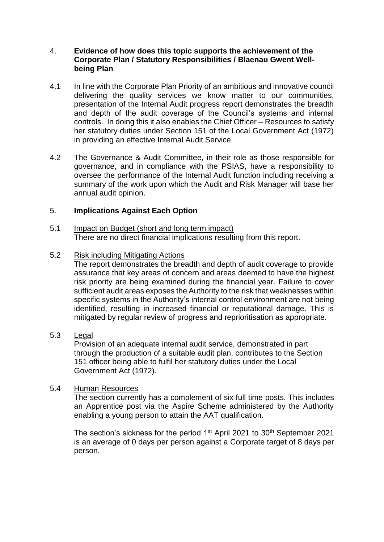#### 4. **Evidence of how does this topic supports the achievement of the Corporate Plan / Statutory Responsibilities / Blaenau Gwent Wellbeing Plan**

- 4.1 In line with the Corporate Plan Priority of an ambitious and innovative council delivering the quality services we know matter to our communities, presentation of the Internal Audit progress report demonstrates the breadth and depth of the audit coverage of the Council's systems and internal controls. In doing this it also enables the Chief Officer – Resources to satisfy her statutory duties under Section 151 of the Local Government Act (1972) in providing an effective Internal Audit Service.
- 4.2 The Governance & Audit Committee, in their role as those responsible for governance, and in compliance with the PSIAS, have a responsibility to oversee the performance of the Internal Audit function including receiving a summary of the work upon which the Audit and Risk Manager will base her annual audit opinion.

# 5. **Implications Against Each Option**

5.1 Impact on Budget (short and long term impact) There are no direct financial implications resulting from this report.

#### 5.2 Risk including Mitigating Actions

The report demonstrates the breadth and depth of audit coverage to provide assurance that key areas of concern and areas deemed to have the highest risk priority are being examined during the financial year. Failure to cover sufficient audit areas exposes the Authority to the risk that weaknesses within specific systems in the Authority's internal control environment are not being identified, resulting in increased financial or reputational damage. This is mitigated by regular review of progress and reprioritisation as appropriate.

#### 5.3 Legal

Provision of an adequate internal audit service, demonstrated in part through the production of a suitable audit plan, contributes to the Section 151 officer being able to fulfil her statutory duties under the Local Government Act (1972).

#### 5.4 Human Resources

The section currently has a complement of six full time posts. This includes an Apprentice post via the Aspire Scheme administered by the Authority enabling a young person to attain the AAT qualification.

The section's sickness for the period 1<sup>st</sup> April 2021 to 30<sup>th</sup> September 2021 is an average of 0 days per person against a Corporate target of 8 days per person.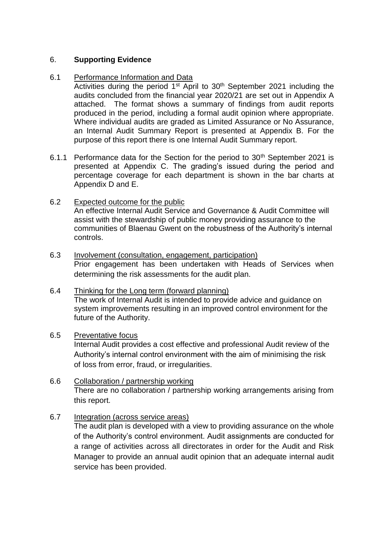# 6. **Supporting Evidence**

#### 6.1 Performance Information and Data

Activities during the period 1<sup>st</sup> April to 30<sup>th</sup> September 2021 including the audits concluded from the financial year 2020/21 are set out in Appendix A attached. The format shows a summary of findings from audit reports produced in the period, including a formal audit opinion where appropriate. Where individual audits are graded as Limited Assurance or No Assurance, an Internal Audit Summary Report is presented at Appendix B. For the purpose of this report there is one Internal Audit Summary report.

- 6.1.1 Performance data for the Section for the period to  $30<sup>th</sup>$  September 2021 is presented at Appendix C. The grading's issued during the period and percentage coverage for each department is shown in the bar charts at Appendix D and E.
- 6.2 Expected outcome for the public An effective Internal Audit Service and Governance & Audit Committee will assist with the stewardship of public money providing assurance to the communities of Blaenau Gwent on the robustness of the Authority's internal controls.
- 6.3 Involvement (consultation, engagement, participation) Prior engagement has been undertaken with Heads of Services when determining the risk assessments for the audit plan.
- 6.4 Thinking for the Long term (forward planning) The work of Internal Audit is intended to provide advice and guidance on system improvements resulting in an improved control environment for the future of the Authority.

#### 6.5 Preventative focus

Internal Audit provides a cost effective and professional Audit review of the Authority's internal control environment with the aim of minimising the risk of loss from error, fraud, or irregularities.

- 6.6 Collaboration / partnership working There are no collaboration / partnership working arrangements arising from this report.
- 6.7 Integration (across service areas)

The audit plan is developed with a view to providing assurance on the whole of the Authority's control environment. Audit assignments are conducted for a range of activities across all directorates in order for the Audit and Risk Manager to provide an annual audit opinion that an adequate internal audit service has been provided.